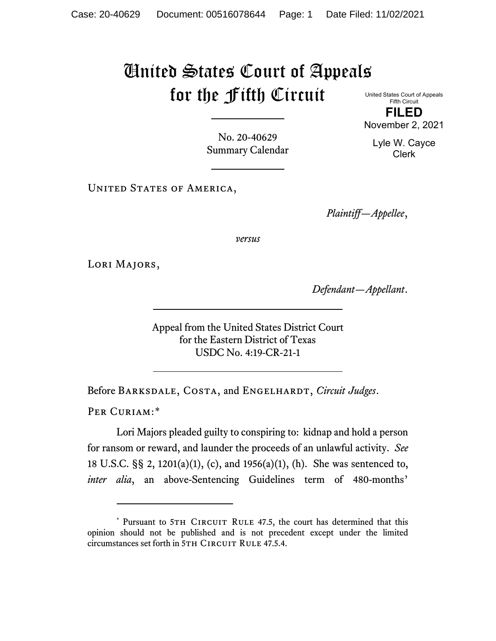## United States Court of Appeals for the Fifth Circuit

United States Court of Appeals Fifth Circuit **FILED**

November 2, 2021

Lyle W. Cayce Clerk

No. 20-40629 Summary Calendar

UNITED STATES OF AMERICA,

*Plaintiff—Appellee*,

*versus*

Lori Majors,

*Defendant—Appellant*.

Appeal from the United States District Court for the Eastern District of Texas USDC No. 4:19-CR-21-1

Before BARKSDALE, COSTA, and ENGELHARDT, *Circuit Judges*.

PER CURIAM:[\\*](#page-0-0)

Lori Majors pleaded guilty to conspiring to: kidnap and hold a person for ransom or reward, and launder the proceeds of an unlawful activity. *See* 18 U.S.C. §§ 2, 1201(a)(1), (c), and 1956(a)(1), (h). She was sentenced to, *inter alia*, an above-Sentencing Guidelines term of 480-months'

<span id="page-0-0"></span><sup>\*</sup> Pursuant to 5TH CIRCUIT RULE 47.5, the court has determined that this opinion should not be published and is not precedent except under the limited circumstances set forth in 5TH CIRCUIT RULE 47.5.4.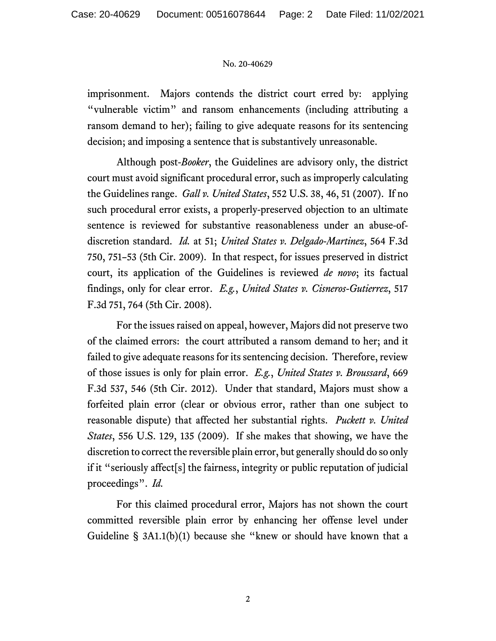## No. 20-40629

imprisonment. Majors contends the district court erred by: applying "vulnerable victim" and ransom enhancements (including attributing a ransom demand to her); failing to give adequate reasons for its sentencing decision; and imposing a sentence that is substantively unreasonable.

Although post-*Booker*, the Guidelines are advisory only, the district court must avoid significant procedural error, such as improperly calculating the Guidelines range. *Gall v. United States*, 552 U.S. 38, 46, 51 (2007). If no such procedural error exists, a properly-preserved objection to an ultimate sentence is reviewed for substantive reasonableness under an abuse-ofdiscretion standard. *Id.* at 51; *United States v. Delgado-Martinez*, 564 F.3d 750, 751–53 (5th Cir. 2009). In that respect, for issues preserved in district court, its application of the Guidelines is reviewed *de novo*; its factual findings, only for clear error. *E.g.*, *United States v. Cisneros-Gutierrez*, 517 F.3d 751, 764 (5th Cir. 2008).

For the issues raised on appeal, however, Majors did not preserve two of the claimed errors: the court attributed a ransom demand to her; and it failed to give adequate reasons for its sentencing decision. Therefore, review of those issues is only for plain error. *E.g.*, *United States v. Broussard*, 669 F.3d 537, 546 (5th Cir. 2012). Under that standard, Majors must show a forfeited plain error (clear or obvious error, rather than one subject to reasonable dispute) that affected her substantial rights. *Puckett v. United States*, 556 U.S. 129, 135 (2009). If she makes that showing, we have the discretion to correct the reversible plain error, but generally should do so only if it "seriously affect[s] the fairness, integrity or public reputation of judicial proceedings". *Id.*

For this claimed procedural error, Majors has not shown the court committed reversible plain error by enhancing her offense level under Guideline § 3A1.1(b)(1) because she "knew or should have known that a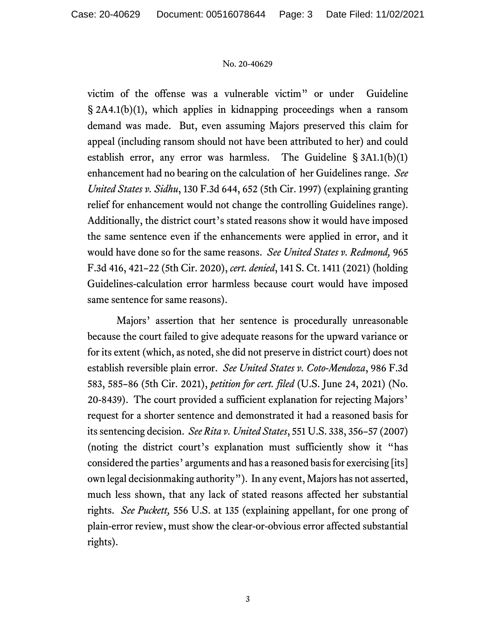## No. 20-40629

victim of the offense was a vulnerable victim" or under Guideline § 2A4.1(b)(1), which applies in kidnapping proceedings when a ransom demand was made. But, even assuming Majors preserved this claim for appeal (including ransom should not have been attributed to her) and could establish error, any error was harmless. The Guideline § 3A1.1(b)(1) enhancement had no bearing on the calculation of her Guidelines range. *See United States v. Sidhu*, 130 F.3d 644, 652 (5th Cir. 1997) (explaining granting relief for enhancement would not change the controlling Guidelines range). Additionally, the district court's stated reasons show it would have imposed the same sentence even if the enhancements were applied in error, and it would have done so for the same reasons. *See United States v. Redmond,* 965 F.3d 416, 421–22 (5th Cir. 2020), *cert. denied*, 141 S. Ct. 1411 (2021) (holding Guidelines-calculation error harmless because court would have imposed same sentence for same reasons).

Majors' assertion that her sentence is procedurally unreasonable because the court failed to give adequate reasons for the upward variance or for its extent (which, as noted, she did not preserve in district court) does not establish reversible plain error. *See United States v. Coto-Mendoza*, 986 F.3d 583, 585–86 (5th Cir. 2021), *petition for cert. filed* (U.S. June 24, 2021) (No. 20-8439). The court provided a sufficient explanation for rejecting Majors' request for a shorter sentence and demonstrated it had a reasoned basis for its sentencing decision. *See Rita v. United States*, 551 U.S. 338, 356–57 (2007) (noting the district court's explanation must sufficiently show it "has considered the parties' arguments and has a reasoned basis for exercising [its] own legal decisionmaking authority"). In any event, Majors has not asserted, much less shown, that any lack of stated reasons affected her substantial rights. *See Puckett,* 556 U.S. at 135 (explaining appellant, for one prong of plain-error review, must show the clear-or-obvious error affected substantial rights).